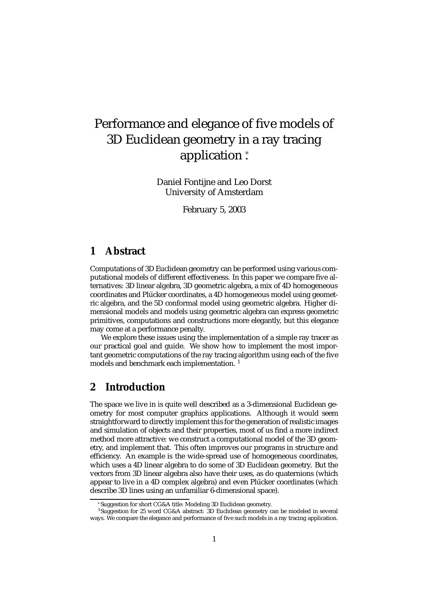# Performance and elegance of five models of 3D Euclidean geometry in a ray tracing application <sup>∗</sup> .

Daniel Fontijne and Leo Dorst University of Amsterdam

February 5, 2003

# **1 Abstract**

Computations of 3D Euclidean geometry can be performed using various computational models of different effectiveness. In this paper we compare five alternatives: 3D linear algebra, 3D geometric algebra, a mix of 4D homogeneous coordinates and Plücker coordinates, a 4D homogeneous model using geometric algebra, and the 5D conformal model using geometric algebra. Higher dimensional models and models using geometric algebra can express geometric primitives, computations and constructions more elegantly, but this elegance may come at a performance penalty.

We explore these issues using the implementation of a simple ray tracer as our practical goal and guide. We show how to implement the most important geometric computations of the ray tracing algorithm using each of the five models and benchmark each implementation.<sup>1</sup>

# **2 Introduction**

The space we live in is quite well described as a 3-dimensional Euclidean geometry for most computer graphics applications. Although it would seem straightforward to directly implement this for the generation of realistic images and simulation of objects and their properties, most of us find a more indirect method more attractive: we construct a computational model of the 3D geometry, and implement that. This often improves our programs in structure and efficiency. An example is the wide-spread use of homogeneous coordinates, which uses a 4D linear algebra to do some of 3D Euclidean geometry. But the vectors from 3D linear algebra also have their uses, as do quaternions (which appear to live in a 4D complex algebra) and even Plücker coordinates (which describe 3D lines using an unfamiliar 6-dimensional space).

<sup>∗</sup>Suggestion for short CG&A title: Modeling 3D Euclidean geometry.

<sup>&</sup>lt;sup>1</sup>Suggestion for 25 word CG&A abstract: 3D Euclidean geometry can be modeled in several ways. We compare the elegance and performance of five such models in a ray tracing application.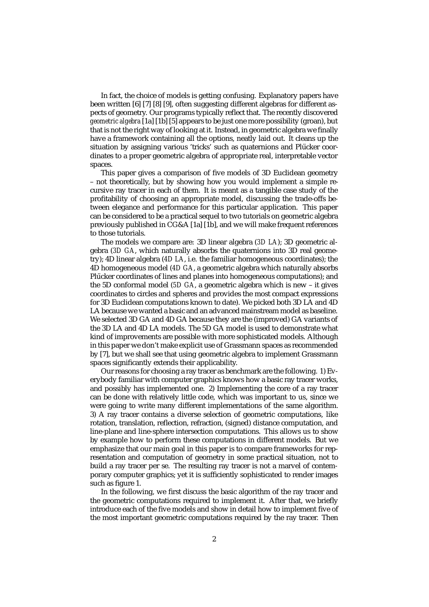In fact, the choice of models is getting confusing. Explanatory papers have been written [6] [7] [8] [9], often suggesting different algebras for different aspects of geometry. Our programs typically reflect that. The recently discovered *geometric algebra* [1a] [1b] [5] appears to be just one more possibility (groan), but that is not the right way of looking at it. Instead, in geometric algebra we finally have a framework containing all the options, neatly laid out. It cleans up the situation by assigning various 'tricks' such as quaternions and Plücker coordinates to a proper geometric algebra of appropriate real, interpretable vector spaces.

This paper gives a comparison of five models of 3D Euclidean geometry – not theoretically, but by showing how you would implement a simple recursive ray tracer in each of them. It is meant as a tangible case study of the profitability of choosing an appropriate model, discussing the trade-offs between elegance and performance for this particular application. This paper can be considered to be a practical sequel to two tutorials on geometric algebra previously published in CG&A [1a] [1b], and we will make frequent references to those tutorials.

The models we compare are: 3D linear algebra (*3D LA*); 3D geometric algebra (*3D GA*, which naturally absorbs the quaternions into 3D real geometry); 4D linear algebra (*4D LA*, i.e. the familiar homogeneous coordinates); the 4D homogeneous model (*4D GA*, a geometric algebra which naturally absorbs Plücker coordinates of lines and planes into homogeneous computations); and the 5D conformal model (*5D GA*, a geometric algebra which is new – it gives coordinates to circles and spheres and provides the most compact expressions for 3D Euclidean computations known to date). We picked both 3D LA and 4D LA because we wanted a basic and an advanced mainstream model as baseline. We selected 3D GA and 4D GA because they are the (improved) GA variants of the 3D LA and 4D LA models. The 5D GA model is used to demonstrate what kind of improvements are possible with more sophisticated models. Although in this paper we don't make explicit use of Grassmann spaces as recommended by [7], but we shall see that using geometric algebra to implement Grassmann spaces significantly extends their applicability.

Our reasons for choosing a ray tracer as benchmark are the following. 1) Everybody familiar with computer graphics knows how a basic ray tracer works, and possibly has implemented one. 2) Implementing the core of a ray tracer can be done with relatively little code, which was important to us, since we were going to write many different implementations of the same algorithm. 3) A ray tracer contains a diverse selection of geometric computations, like rotation, translation, reflection, refraction, (signed) distance computation, and line-plane and line-sphere intersection computations. This allows us to show by example how to perform these computations in different models. But we emphasize that our main goal in this paper is to compare frameworks for representation and computation of geometry in some practical situation, not to build a ray tracer per se. The resulting ray tracer is not a marvel of contemporary computer graphics; yet it is sufficiently sophisticated to render images such as figure 1.

In the following, we first discuss the basic algorithm of the ray tracer and the geometric computations required to implement it. After that, we briefly introduce each of the five models and show in detail how to implement five of the most important geometric computations required by the ray tracer. Then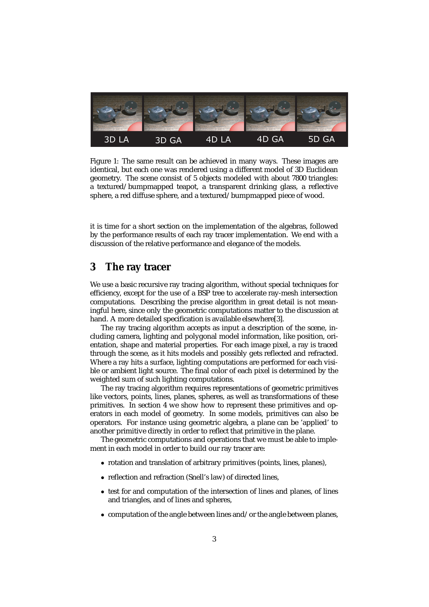

Figure 1: The same result can be achieved in many ways. These images are identical, but each one was rendered using a different model of 3D Euclidean geometry. The scene consist of 5 objects modeled with about 7800 triangles: a textured/bumpmapped teapot, a transparent drinking glass, a reflective sphere, a red diffuse sphere, and a textured/bumpmapped piece of wood.

it is time for a short section on the implementation of the algebras, followed by the performance results of each ray tracer implementation. We end with a discussion of the relative performance and elegance of the models.

# **3 The ray tracer**

We use a basic recursive ray tracing algorithm, without special techniques for efficiency, except for the use of a BSP tree to accelerate ray-mesh intersection computations. Describing the precise algorithm in great detail is not meaningful here, since only the geometric computations matter to the discussion at hand. A more detailed specification is available elsewhere[3].

The ray tracing algorithm accepts as input a description of the scene, including camera, lighting and polygonal model information, like position, orientation, shape and material properties. For each image pixel, a ray is traced through the scene, as it hits models and possibly gets reflected and refracted. Where a ray hits a surface, lighting computations are performed for each visible or ambient light source. The final color of each pixel is determined by the weighted sum of such lighting computations.

The ray tracing algorithm requires representations of geometric primitives like vectors, points, lines, planes, spheres, as well as transformations of these primitives. In section 4 we show how to represent these primitives and operators in each model of geometry. In some models, primitives can also be operators. For instance using geometric algebra, a plane can be 'applied' to another primitive directly in order to reflect that primitive in the plane.

The geometric computations and operations that we must be able to implement in each model in order to build our ray tracer are:

- rotation and translation of arbitrary primitives (points, lines, planes),
- reflection and refraction (Snell's law) of directed lines,
- test for and computation of the intersection of lines and planes, of lines and triangles, and of lines and spheres,
- computation of the angle between lines and/or the angle between planes,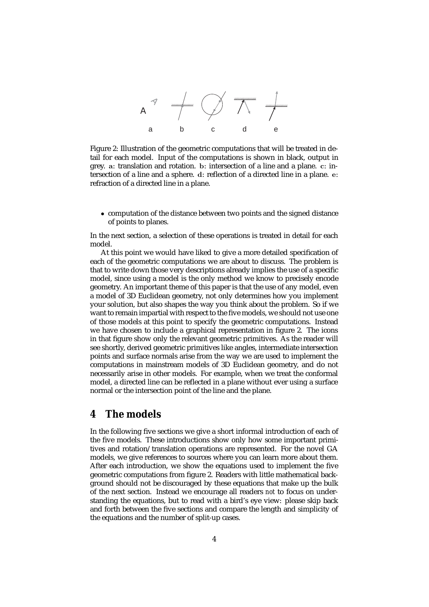

Figure 2: Illustration of the geometric computations that will be treated in detail for each model. Input of the computations is shown in black, output in grey. **a**: translation and rotation. **b**: intersection of a line and a plane. **c**: intersection of a line and a sphere. **d**: reflection of a directed line in a plane. **e**: refraction of a directed line in a plane.

• computation of the distance between two points and the signed distance of points to planes.

In the next section, a selection of these operations is treated in detail for each model.

At this point we would have liked to give a more detailed specification of each of the geometric computations we are about to discuss. The problem is that to write down those very descriptions already implies the use of a specific model, since using a model is the only method we know to precisely encode geometry. An important theme of this paper is that the use of any model, even a model of 3D Euclidean geometry, not only determines how you implement your solution, but also shapes the way you think about the problem. So if we want to remain impartial with respect to the five models, we should not use one of those models at this point to specify the geometric computations. Instead we have chosen to include a graphical representation in figure 2. The icons in that figure show only the relevant geometric primitives. As the reader will see shortly, derived geometric primitives like angles, intermediate intersection points and surface normals arise from the way we are used to implement the computations in mainstream models of 3D Euclidean geometry, and do not necessarily arise in other models. For example, when we treat the conformal model, a directed line can be reflected in a plane without ever using a surface normal or the intersection point of the line and the plane.

# **4 The models**

In the following five sections we give a short informal introduction of each of the five models. These introductions show only how some important primitives and rotation/translation operations are represented. For the novel GA models, we give references to sources where you can learn more about them. After each introduction, we show the equations used to implement the five geometric computations from figure 2. Readers with little mathematical background should not be discouraged by these equations that make up the bulk of the next section. Instead we encourage all readers *not* to focus on understanding the equations, but to read with a bird's eye view: please skip back and forth between the five sections and compare the length and simplicity of the equations and the number of split-up cases.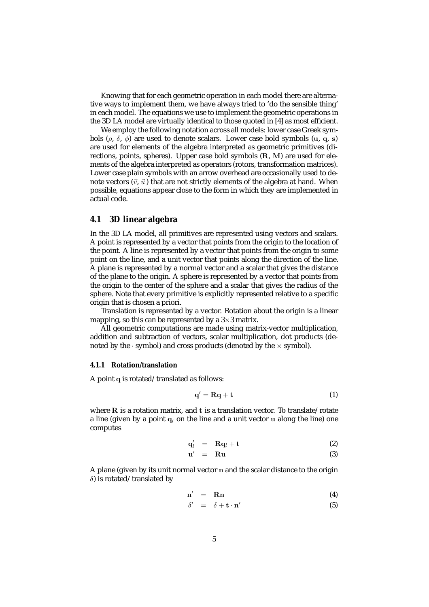Knowing that for each geometric operation in each model there are alternative ways to implement them, we have always tried to 'do the sensible thing' in each model. The equations we use to implement the geometric operations in the 3D LA model are virtually identical to those quoted in [4] as most efficient.

We employ the following notation across all models: lower case Greek symbols (ρ, δ, φ) are used to denote scalars. Lower case bold symbols (**u**, **q**, **s**) are used for elements of the algebra interpreted as geometric primitives (directions, points, spheres). Upper case bold symbols (**R**, **M**) are used for elements of the algebra interpreted as operators (rotors, transformation matrices). Lower case plain symbols with an arrow overhead are occasionally used to denote vectors  $(\vec{v}, \vec{u})$  that are not strictly elements of the algebra at hand. When possible, equations appear close to the form in which they are implemented in actual code.

### **4.1 3D linear algebra**

In the 3D LA model, all primitives are represented using vectors and scalars. A point is represented by a vector that points from the origin to the location of the point. A line is represented by a vector that points from the origin to some point on the line, and a unit vector that points along the direction of the line. A plane is represented by a normal vector and a scalar that gives the distance of the plane to the origin. A sphere is represented by a vector that points from the origin to the center of the sphere and a scalar that gives the radius of the sphere. Note that every primitive is explicitly represented relative to a specific origin that is chosen a priori.

Translation is represented by a vector. Rotation about the origin is a linear mapping, so this can be represented by a  $3\times 3$  matrix.

All geometric computations are made using matrix-vector multiplication, addition and subtraction of vectors, scalar multiplication, dot products (denoted by the  $\cdot$  symbol) and cross products (denoted by the  $\times$  symbol).

#### **4.1.1 Rotation/translation**

A point **q** is rotated/translated as follows:

$$
\mathbf{q}' = \mathbf{R}\mathbf{q} + \mathbf{t} \tag{1}
$$

where **R** is a rotation matrix, and **t** is a translation vector. To translate/rotate a line (given by a point **q**<sup>l</sup> on the line and a unit vector **u** along the line) one computes

$$
\mathbf{q}'_l = \mathbf{R}\mathbf{q}_l + \mathbf{t} \tag{2}
$$

$$
u' = Ru \t\t(3)
$$

A plane (given by its unit normal vector **n** and the scalar distance to the origin δ) is rotated/translated by

$$
n' = Rn \tag{4}
$$

$$
\delta' = \delta + \mathbf{t} \cdot \mathbf{n}' \tag{5}
$$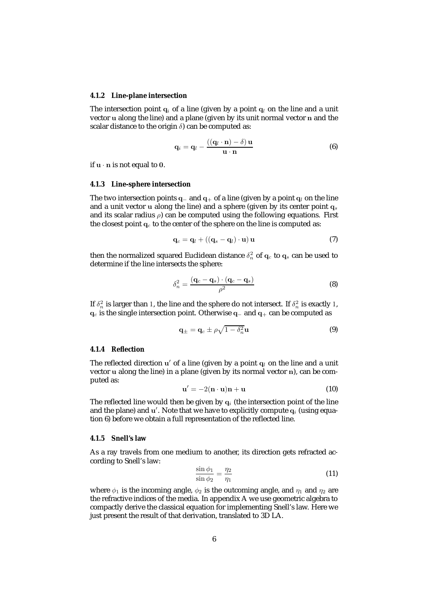#### **4.1.2 Line-plane intersection**

The intersection point  $q_i$  of a line (given by a point  $q_i$  on the line and a unit vector **u** along the line) and a plane (given by its unit normal vector **n** and the scalar distance to the origin  $\delta$ ) can be computed as:

$$
\mathbf{q}_i = \mathbf{q}_l - \frac{((\mathbf{q}_l \cdot \mathbf{n}) - \delta) \mathbf{u}}{\mathbf{u} \cdot \mathbf{n}}
$$
 (6)

if **<sup>u</sup>** · **<sup>n</sup>** is not equal to **<sup>0</sup>**.

#### **4.1.3 Line-sphere intersection**

The two intersection points  $q_-\text{ and }q_+\text{ of a line (given by a point }q_l\text{ on the line})$ and a unit vector **u** along the line) and a sphere (given by its center point **q**<sup>s</sup> and its scalar radius  $\rho$ ) can be computed using the following equations. First the closest point  $q_c$  to the center of the sphere on the line is computed as:

$$
\mathbf{q}_c = \mathbf{q}_l + ((\mathbf{q}_s - \mathbf{q}_l) \cdot \mathbf{u}) \mathbf{u}
$$
 (7)

then the normalized squared Euclidean distance  $\delta_n^2$  of  $\mathbf{q}_c$  to  $\mathbf{q}_s$  can be used to determine if the line intersects the sphere:

$$
\delta_n^2 = \frac{(\mathbf{q}_c - \mathbf{q}_s) \cdot (\mathbf{q}_c - \mathbf{q}_s)}{\rho^2}
$$
 (8)

If  $\delta_n^2$  is larger than 1, the line and the sphere do not intersect. If  $\delta_n^2$  is exactly 1, **<sup>q</sup>**<sup>c</sup> is the single intersection point. Otherwise **<sup>q</sup>**<sup>−</sup> and **<sup>q</sup>**<sup>+</sup> can be computed as

$$
\mathbf{q}_{\pm} = \mathbf{q}_c \pm \rho \sqrt{1 - \delta_n^2} \mathbf{u} \tag{9}
$$

#### **4.1.4 Reflection**

The reflected direction  $u'$  of a line (given by a point  $q_l$  on the line and a unit vector **u** along the line) in a plane (given by its normal vector **n**), can be computed as:

$$
\mathbf{u}' = -2(\mathbf{n} \cdot \mathbf{u})\mathbf{n} + \mathbf{u} \tag{10}
$$

The reflected line would then be given by  $q_i$  (the intersection point of the line and the plane) and **u** . Note that we have to explicitly compute **q**<sup>i</sup> (using equation 6) before we obtain a full representation of the reflected line.

#### **4.1.5 Snell's law**

As a ray travels from one medium to another, its direction gets refracted according to Snell's law:

$$
\frac{\sin \phi_1}{\sin \phi_2} = \frac{\eta_2}{\eta_1} \tag{11}
$$

where  $\phi_1$  is the incoming angle,  $\phi_2$  is the outcoming angle, and  $\eta_1$  and  $\eta_2$  are the refractive indices of the media. In appendix A we use geometric algebra to compactly derive the classical equation for implementing Snell's law. Here we just present the result of that derivation, translated to 3D LA.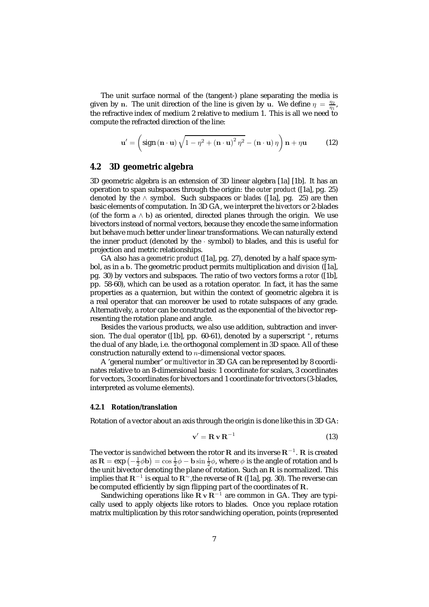The unit surface normal of the (tangent-) plane separating the media is given by **n**. The unit direction of the line is given by **u**. We define  $\eta = \frac{\eta_2}{\eta_1}$ , the refractive index of medium 2 relative to medium 1. This is all we need to compute the refracted direction of the line:

$$
\mathbf{u}' = \left(\text{sign}\left(\mathbf{n} \cdot \mathbf{u}\right) \sqrt{1 - \eta^2 + \left(\mathbf{n} \cdot \mathbf{u}\right)^2 \eta^2} - \left(\mathbf{n} \cdot \mathbf{u}\right) \eta\right) \mathbf{n} + \eta \mathbf{u} \tag{12}
$$

### **4.2 3D geometric algebra**

3D geometric algebra is an extension of 3D linear algebra [1a] [1b]. It has an operation to span subspaces through the origin: the *outer product* ([1a], pg. 25) denoted by the ∧ symbol. Such subspaces or *blades* ([1a], pg. 25) are then basic elements of computation. In 3D GA, we interpret the *bivectors* or 2-blades (of the form  $a \wedge b$ ) as oriented, directed planes through the origin. We use bivectors instead of normal vectors, because they encode the same information but behave much better under linear transformations. We can naturally extend the inner product (denoted by the · symbol) to blades, and this is useful for projection and metric relationships.

GA also has a *geometric product* ([1a], pg. 27), denoted by a half space symbol, as in **a b**. The geometric product permits multiplication and *division* ([1a], pg. 30) by vectors and subspaces. The ratio of two vectors forms a *rotor* ([1b], pp. 58-60), which can be used as a rotation operator. In fact, it has the same properties as a quaternion, but within the context of geometric algebra it is a real operator that can moreover be used to rotate subspaces of any grade. Alternatively, a rotor can be constructed as the exponential of the bivector representing the rotation plane and angle.

Besides the various products, we also use addition, subtraction and inversion. The *dual* operator ([1b], pp. 60-61), denoted by a superscript <sup>∗</sup>, returns the dual of any blade, i.e. the orthogonal complement in 3D space. All of these construction naturally extend to  $n$ -dimensional vector spaces.

A 'general number' or *multivector* in 3D GA can be represented by 8 coordinates relative to an 8-dimensional basis: 1 coordinate for scalars, 3 coordinates for vectors, 3 coordinates for bivectors and 1 coordinate for trivectors (3-blades, interpreted as volume elements).

#### **4.2.1 Rotation/translation**

Rotation of a vector about an axis through the origin is done like this in 3D GA:

$$
\mathbf{v}' = \mathbf{R} \mathbf{v} \mathbf{R}^{-1} \tag{13}
$$

The vector is *sandwiched* between the rotor **R** and its inverse **R**−<sup>1</sup>. **R** is created as  $\mathbf{R} = \exp\left(-\frac{1}{2}\phi\mathbf{b}\right) = \cos\frac{1}{2}\phi - \mathbf{b}\sin\frac{1}{2}\phi$ , where  $\phi$  is the angle of rotation and **b** the unit bivector denoting the plane of rotation. Such an **R** is normalized. This implies that **R**−<sup>1</sup> is equal to **R**∼,the reverse of **R** ([1a], pg. 30). The reverse can be computed efficiently by sign flipping part of the coordinates of **R**.

Sandwiching operations like  $\mathbf{R} \mathbf{v} \mathbf{R}^{-1}$  are common in GA. They are typically used to apply objects like rotors to blades. Once you replace rotation matrix multiplication by this rotor sandwiching operation, points (represented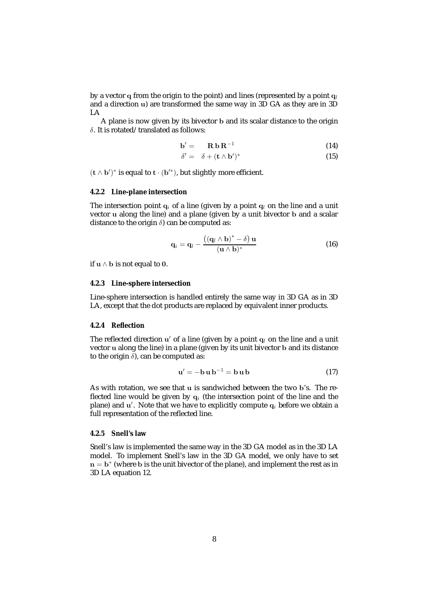by a vector **q** from the origin to the point) and lines (represented by a point **q**<sup>l</sup> and a direction **u**) are transformed the same way in 3D GA as they are in 3D LA

A plane is now given by its bivector **b** and its scalar distance to the origin δ. It is rotated/translated as follows:

$$
\mathbf{b}' = \mathbf{R} \mathbf{b} \mathbf{R}^{-1} \tag{14}
$$

$$
\delta' = \delta + (\mathbf{t} \wedge \mathbf{b}')^* \tag{15}
$$

 $(\mathbf{t} \wedge \mathbf{b}')^*$  is equal to  $\mathbf{t} \cdot (\mathbf{b}'^*),$  but slightly more efficient.

#### **4.2.2 Line-plane intersection**

The intersection point  $q_i$  of a line (given by a point  $q_l$  on the line and a unit vector **u** along the line) and a plane (given by a unit bivector **b** and a scalar distance to the origin  $\delta$ ) can be computed as:

$$
\mathbf{q}_i = \mathbf{q}_l - \frac{((\mathbf{q}_l \wedge \mathbf{b})^* - \delta) \mathbf{u}}{(\mathbf{u} \wedge \mathbf{b})^*}
$$
(16)

if **<sup>u</sup>** <sup>∧</sup> **<sup>b</sup>** is not equal to **<sup>0</sup>**.

### **4.2.3 Line-sphere intersection**

Line-sphere intersection is handled entirely the same way in 3D GA as in 3D LA, except that the dot products are replaced by equivalent inner products.

#### **4.2.4 Reflection**

The reflected direction  $u'$  of a line (given by a point  $q_l$  on the line and a unit vector **u** along the line) in a plane (given by its unit bivector **b** and its distance to the origin  $\delta$ ), can be computed as:

$$
\mathbf{u}' = -\mathbf{b}\,\mathbf{u}\,\mathbf{b}^{-1} = \mathbf{b}\,\mathbf{u}\,\mathbf{b} \tag{17}
$$

As with rotation, we see that **u** is sandwiched between the two **b**'s. The reflected line would be given by  $q_i$  (the intersection point of the line and the plane) and **u** . Note that we have to explicitly compute **q**<sup>i</sup> before we obtain a full representation of the reflected line.

#### **4.2.5 Snell's law**

Snell's law is implemented the same way in the 3D GA model as in the 3D LA model. To implement Snell's law in the 3D GA model, we only have to set  $n = b^*$  (where **b** is the unit bivector of the plane), and implement the rest as in 3D LA equation 12.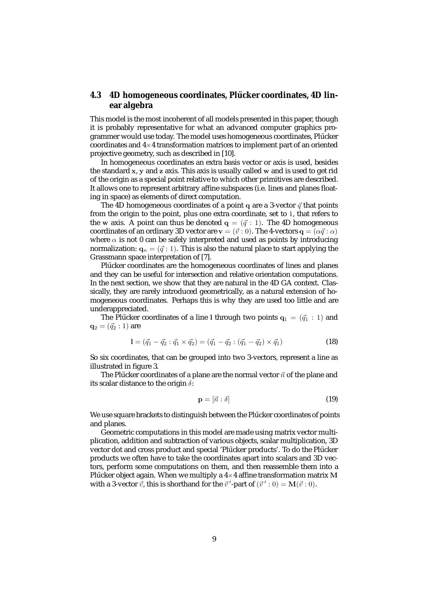### **4.3** 4D homogeneous coordinates, Plücker coordinates, 4D lin**ear algebra**

This model is the most incoherent of all models presented in this paper, though it is probably representative for what an advanced computer graphics programmer would use today. The model uses homogeneous coordinates, Plücker coordinates and  $4\times 4$  transformation matrices to implement part of an oriented projective geometry, such as described in [10].

In homogeneous coordinates an extra basis vector or axis is used, besides the standard **x**, **y** and **z** axis. This axis is usually called **w** and is used to get rid of the origin as a special point relative to which other primitives are described. It allows one to represent arbitrary affine subspaces (i.e. lines and planes floating in space) as elements of direct computation.

The 4D homogeneous coordinates of a point  $q$  are a 3-vector  $\vec{q}$  that points from the origin to the point, plus one extra coordinate, set to 1, that refers to the **w** axis. A point can thus be denoted  $q = (\vec{q} : 1)$ . The 4D homogeneous coordinates of an ordinary 3D vector are  $\mathbf{v} = (\vec{v} : 0)$ . The 4-vectors  $\mathbf{q} = (\alpha \vec{q} : \alpha)$ where  $\alpha$  is not 0 can be safely interpreted and used as points by introducing normalization:  $\mathbf{q}_n = (\vec{q} : 1)$ . This is also the natural place to start applying the Grassmann space interpretation of [7].

Plücker coordinates are the homogeneous coordinates of lines and planes and they can be useful for intersection and relative orientation computations. In the next section, we show that they are natural in the 4D GA context. Classically, they are rarely introduced geometrically, as a natural extension of homogeneous coordinates. Perhaps this is why they are used too little and are underappreciated.

The Plücker coordinates of a line 1 through two points  $q_1 = (\vec{q}_1 : 1)$  and  ${\bf q}_2 = (\vec{q}_2 : 1)$  are

$$
1 = (\vec{q}_1 - \vec{q}_2 : \vec{q}_1 \times \vec{q}_2) = (\vec{q}_1 - \vec{q}_2 : (\vec{q}_1 - \vec{q}_2) \times \vec{q}_1)
$$
\n(18)

So six coordinates, that can be grouped into two 3-vectors, represent a line as illustrated in figure 3.

The Plücker coordinates of a plane are the normal vector  $\vec{n}$  of the plane and its scalar distance to the origin  $\delta$ :

$$
\mathbf{p} = [\vec{n} : \delta] \tag{19}
$$

We use square brackets to distinguish between the Plücker coordinates of points and planes.

Geometric computations in this model are made using matrix vector multiplication, addition and subtraction of various objects, scalar multiplication, 3D vector dot and cross product and special 'Plücker products'. To do the Plücker products we often have to take the coordinates apart into scalars and 3D vectors, perform some computations on them, and then reassemble them into a Plücker object again. When we multiply a  $4\times 4$  affine transformation matrix M with a 3-vector  $\vec{v}$ , this is shorthand for the  $\vec{v}'$ -part of  $(\vec{v}' : 0) = M(\vec{v} : 0)$ .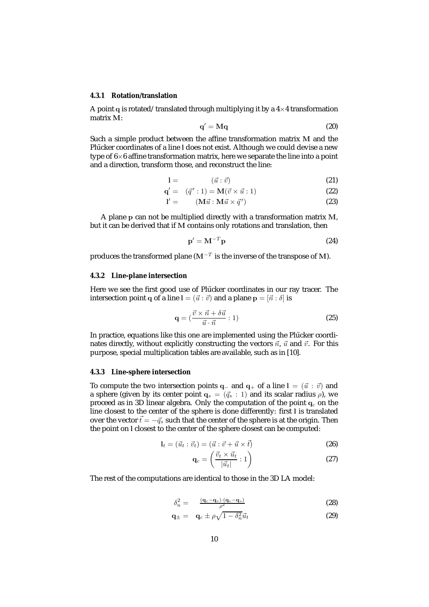#### **4.3.1 Rotation/translation**

A point  $q$  is rotated/translated through multiplying it by a  $4\times 4$  transformation matrix **M**:

$$
\mathbf{q}' = \mathbf{M}\mathbf{q} \tag{20}
$$

Such a simple product between the affine transformation matrix **M** and the Plücker coordinates of a line 1 does not exist. Although we could devise a new type of  $6\times 6$  affine transformation matrix, here we separate the line into a point and a direction, transform those, and reconstruct the line:

$$
1 = \qquad \qquad (\vec{u} : \vec{v}) \tag{21}
$$

$$
\mathbf{q}' = (\vec{q}' : 1) = \mathbf{M}(\vec{v} \times \vec{u} : 1)
$$
\n(22)

$$
l' = (M\vec{u} : M\vec{u} \times \vec{q}') \tag{23}
$$

A plane **p** can not be multiplied directly with a transformation matrix **M**, but it can be derived that if **M** contains only rotations and translation, then

$$
\mathbf{p}' = \mathbf{M}^{-T} \mathbf{p} \tag{24}
$$

produces the transformed plane  $(M^{-T})$  is the inverse of the transpose of M).

#### **4.3.2 Line-plane intersection**

Here we see the first good use of Plücker coordinates in our ray tracer. The intersection point **q** of a line  $\mathbf{l} = (\vec{u} : \vec{v})$  and a plane  $\mathbf{p} = [\vec{n} : \delta]$  is

$$
\mathbf{q} = \left(\frac{\vec{v} \times \vec{n} + \delta \vec{u}}{\vec{u} \cdot \vec{n}} : 1\right) \tag{25}
$$

In practice, equations like this one are implemented using the Plücker coordinates directly, without explicitly constructing the vectors  $\vec{n}$ ,  $\vec{u}$  and  $\vec{v}$ . For this purpose, special multiplication tables are available, such as in [10].

#### **4.3.3 Line-sphere intersection**

To compute the two intersection points **q**− and **q**+ of a line  $l = (\vec{u} : \vec{v})$  and a sphere (given by its center point  $q_s = (\vec{q}_s : 1)$  and its scalar radius  $\rho$ ), we proceed as in 3D linear algebra. Only the computation of the point  $q_c$  on the line closest to the center of the sphere is done differently: first **l** is translated over the vector  $\vec{t} = -\vec{q}_s$  such that the center of the sphere is at the origin. Then the point on **l** closest to the center of the sphere closest can be computed:

$$
\mathbf{l}_t = (\vec{u}_t : \vec{v}_t) = (\vec{u} : \vec{v} + \vec{u} \times \vec{t}) \tag{26}
$$

$$
\mathbf{q}_c = \left(\frac{\vec{v}_t \times \vec{u}_t}{|\vec{u}_t|} : 1\right) \tag{27}
$$

The rest of the computations are identical to those in the 3D LA model:

$$
\delta_n^2 = \frac{(\mathbf{q}_c - \mathbf{q}_s) \cdot (\mathbf{q}_c - \mathbf{q}_s)}{\rho^2} \tag{28}
$$

$$
\mathbf{q}_{\pm} = \mathbf{q}_c \pm \rho \sqrt{1 - \delta_n^2} \vec{u}_t \tag{29}
$$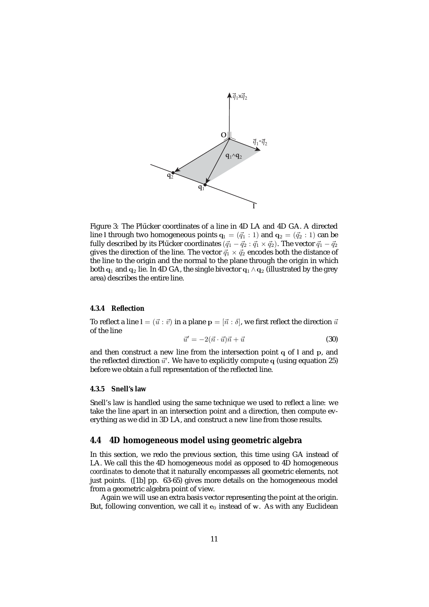

Figure 3: The Plücker coordinates of a line in 4D LA and 4D GA. A directed line 1 through two homogeneous points  $\mathbf{q}_1 = (\vec{q}_1 : 1)$  and  $\mathbf{q}_2 = (\vec{q}_2 : 1)$  can be fully described by its Plücker coordinates  $(\vec{q}_1 - \vec{q}_2 : \vec{q}_1 \times \vec{q}_2)$ . The vector  $\vec{q}_1 - \vec{q}_2$ gives the direction of the line. The vector  $\vec{q}_1 \times \vec{q}_2$  encodes both the distance of the line to the origin and the normal to the plane through the origin in which both  $\mathbf{q}_1$  and  $\mathbf{q}_2$  lie. In 4D GA, the single bivector  $\mathbf{q}_1 \wedge \mathbf{q}_2$  (illustrated by the grey area) describes the entire line.

#### **4.3.4 Reflection**

To reflect a line  $\mathbf{l} = (\vec{u} : \vec{v})$  in a plane  $\mathbf{p} = [\vec{n} : \delta]$ , we first reflect the direction  $\vec{u}$ of the line

$$
\vec{u}' = -2(\vec{n} \cdot \vec{u})\vec{n} + \vec{u}
$$
\n(30)

and then construct a new line from the intersection point **q** of **l** and **p**, and the reflected direction  $\vec{u}'$ . We have to explicitly compute  $q$  (using equation 25) before we obtain a full representation of the reflected line.

#### **4.3.5 Snell's law**

Snell's law is handled using the same technique we used to reflect a line: we take the line apart in an intersection point and a direction, then compute everything as we did in 3D LA, and construct a new line from those results.

#### **4.4 4D homogeneous model using geometric algebra**

In this section, we redo the previous section, this time using GA instead of LA. We call this the 4D homogeneous *model* as opposed to 4D homogeneous *coordinates* to denote that it naturally encompasses all geometric elements, not just points. ([1b] pp. 63-65) gives more details on the homogeneous model from a geometric algebra point of view.

Again we will use an extra basis vector representing the point at the origin. But, following convention, we call it  $e_0$  instead of w. As with any Euclidean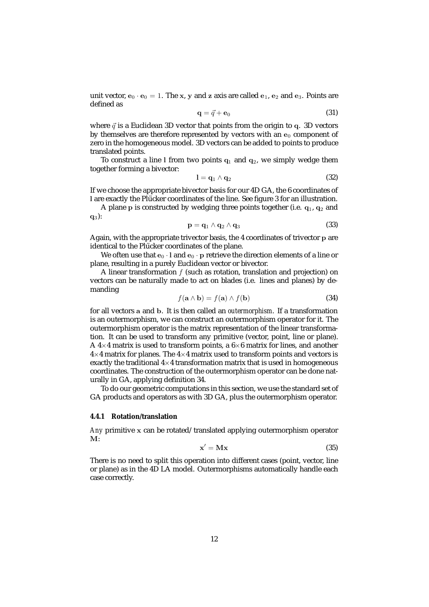unit vector,  $\mathbf{e}_0 \cdot \mathbf{e}_0 = 1$ . The x, y and z axis are called  $\mathbf{e}_1$ ,  $\mathbf{e}_2$  and  $\mathbf{e}_3$ . Points are defined as

$$
\mathbf{q} = \vec{q} + \mathbf{e}_0 \tag{31}
$$

where  $\vec{q}$  is a Euclidean 3D vector that points from the origin to  $q$ . 3D vectors by themselves are therefore represented by vectors with an  $e_0$  component of zero in the homogeneous model. 3D vectors can be added to points to produce translated points.

To construct a line 1 from two points  $q_1$  and  $q_2$ , we simply wedge them together forming a bivector:

$$
l = q_1 \wedge q_2 \tag{32}
$$

If we choose the appropriate bivector basis for our 4D GA, the 6 coordinates of **l** are exactly the Plücker coordinates of the line. See figure 3 for an illustration.

A plane **p** is constructed by wedging three points together (i.e. **q**1, **q**<sup>2</sup> and **q**3):

$$
\mathbf{p} = \mathbf{q}_1 \wedge \mathbf{q}_2 \wedge \mathbf{q}_3 \tag{33}
$$

Again, with the appropriate trivector basis, the 4 coordinates of trivector **p** are identical to the Plücker coordinates of the plane.

We often use that  $\mathbf{e}_0 \cdot \mathbf{l}$  and  $\mathbf{e}_0 \cdot \mathbf{p}$  retrieve the direction elements of a line or plane, resulting in a purely Euclidean vector or bivector.

A linear transformation  $f$  (such as rotation, translation and projection) on vectors can be naturally made to act on blades (i.e. lines and planes) by demanding

$$
f(\mathbf{a} \wedge \mathbf{b}) = f(\mathbf{a}) \wedge f(\mathbf{b})
$$
 (34)

for all vectors **a** and **b**. It is then called an *outermorphism*. If a transformation is an outermorphism, we can construct an outermorphism operator for it. The outermorphism operator is the matrix representation of the linear transformation. It can be used to transform any primitive (vector, point, line or plane). A  $4\times4$  matrix is used to transform points, a  $6\times6$  matrix for lines, and another  $4\times4$  matrix for planes. The  $4\times4$  matrix used to transform points and vectors is exactly the traditional  $4\times 4$  transformation matrix that is used in homogeneous coordinates. The construction of the outermorphism operator can be done naturally in GA, applying definition 34.

To do our geometric computations in this section, we use the standard set of GA products and operators as with 3D GA, plus the outermorphism operator.

#### **4.4.1 Rotation/translation**

*Any* primitive **x** can be rotated/translated applying outermorphism operator **M**:

$$
\mathbf{x}' = \mathbf{M}\mathbf{x} \tag{35}
$$

There is no need to split this operation into different cases (point, vector, line or plane) as in the 4D LA model. Outermorphisms automatically handle each case correctly.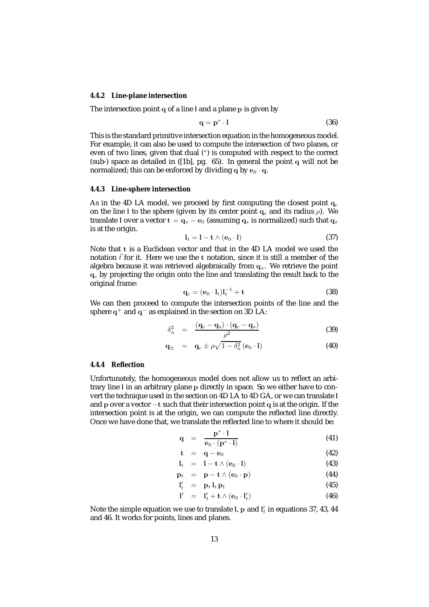#### **4.4.2 Line-plane intersection**

The intersection point **q** of a line **l** and a plane **p** is given by

$$
\mathbf{q} = \mathbf{p}^* \cdot \mathbf{l} \tag{36}
$$

This is the standard primitive intersection equation in the homogeneous model. For example, it can also be used to compute the intersection of two planes, or even of two lines, given that dual (\*) is computed with respect to the correct (sub-) space as detailed in ([1b], pg. 65). In general the point **q** will not be normalized; this can be enforced by dividing  $q$  by  $e_0 \cdot q$ .

#### **4.4.3 Line-sphere intersection**

As in the 4D LA model, we proceed by first computing the closest point  $q_c$ on the line l to the sphere (given by its center point  $q_s$  and its radius  $\rho$ ). We translate **l** over a vector  $\mathbf{t} = \mathbf{q}_s - \mathbf{e}_0$  (assuming  $\mathbf{q}_s$  is normalized) such that  $\mathbf{q}_s$ is at the origin.

$$
\mathbf{l}_t = \mathbf{l} - \mathbf{t} \wedge (\mathbf{e}_0 \cdot \mathbf{l}) \tag{37}
$$

Note that **t** is a Euclidean vector and that in the 4D LA model we used the notation  $\vec{t}$  for it. Here we use the *t* notation, since it is still a member of the algebra because it was retrieved algebraically from **q**s. We retrieve the point **q**<sup>c</sup> by projecting the origin onto the line and translating the result back to the original frame:

$$
\mathbf{q}_c = (\mathbf{e}_0 \cdot \mathbf{l}_t) \mathbf{l}_t^{-1} + \mathbf{t}
$$
 (38)

We can then proceed to compute the intersection points of the line and the sphere **q**<sup>+</sup> and **q**<sup>−</sup> as explained in the section on 3D LA:

$$
\delta_n^2 = \frac{(\mathbf{q}_c - \mathbf{q}_s) \cdot (\mathbf{q}_c - \mathbf{q}_s)}{\rho^2} \tag{39}
$$

$$
\mathbf{q}_{\pm} = \mathbf{q}_c \pm \rho \sqrt{1 - \delta_n^2} (\mathbf{e}_0 \cdot \mathbf{l}) \tag{40}
$$

#### **4.4.4 Reflection**

Unfortunately, the homogeneous model does not allow us to reflect an arbitrary line **l** in an arbitrary plane **p** directly in space. So we either have to convert the technique used in the section on 4D LA to 4D GA, or we can translate **l** and **<sup>p</sup>** over a vector <sup>−</sup>**<sup>t</sup>** such that their intersection point **<sup>q</sup>** is at the origin. If the intersection point is at the origin, we can compute the reflected line directly. Once we have done that, we translate the reflected line to where it should be:

$$
\mathbf{q} = \frac{\mathbf{p}^* \cdot \mathbf{l}}{\mathbf{e}_0 \cdot (\mathbf{p}^* \cdot \mathbf{l})} \tag{41}
$$

$$
\mathbf{t} = \mathbf{q} - \mathbf{e}_0 \tag{42}
$$

$$
\mathbf{l}_t = \mathbf{l} - \mathbf{t} \wedge (\mathbf{e}_0 \cdot \mathbf{l}) \tag{43}
$$

$$
\mathbf{p}_t = \mathbf{p} - \mathbf{t} \wedge (\mathbf{e}_0 \cdot \mathbf{p}) \tag{44}
$$

$$
\mathbf{l}' = \mathbf{p}_t \mathbf{l}_t \mathbf{p}_t \tag{45}
$$

$$
\mathbf{l}'_t = \mathbf{p}_t \, \mathbf{l}_t \, \mathbf{p}_t \tag{45}
$$

$$
l' = l'_t + \mathbf{t} \wedge (\mathbf{e}_0 \cdot l'_t) \tag{46}
$$

Note the simple equation we use to translate l,  $\mathbf{p}$  and  $\mathbf{l}'_t$  in equations 37, 43, 44 and 46. It works for points, lines and planes.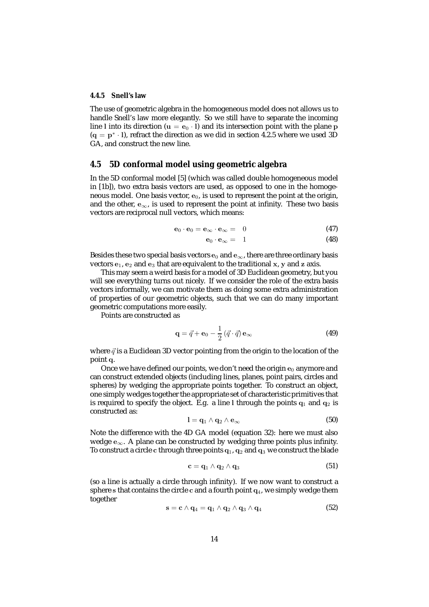#### **4.4.5 Snell's law**

The use of geometric algebra in the homogeneous model does not allows us to handle Snell's law more elegantly. So we still have to separate the incoming line 1 into its direction ( $\mathbf{u} = \mathbf{e}_0 \cdot \mathbf{l}$ ) and its intersection point with the plane **p**  $(q = p^* \cdot l)$ , refract the direction as we did in section 4.2.5 where we used 3D GA, and construct the new line.

### **4.5 5D conformal model using geometric algebra**

In the 5D conformal model [5] (which was called double homogeneous model in [1b]), two extra basis vectors are used, as opposed to one in the homogeneous model. One basis vector,  $e_0$ , is used to represent the point at the origin, and the other,  $e_{\infty}$ , is used to represent the point at infinity. These two basis vectors are reciprocal null vectors, which means:

$$
\mathbf{e}_0 \cdot \mathbf{e}_0 = \mathbf{e}_{\infty} \cdot \mathbf{e}_{\infty} = 0 \tag{47}
$$

$$
\mathbf{e}_0 \cdot \mathbf{e}_{\infty} = 1 \tag{48}
$$

Besides these two special basis vectors  $\mathbf{e}_0$  and  $\mathbf{e}_{\infty}$ , there are three ordinary basis vectors **e**1, **e**<sup>2</sup> and **e**<sup>3</sup> that are equivalent to the traditional **x**, **y** and **z** axis.

This may seem a weird basis for a model of 3D Euclidean geometry, but you will see everything turns out nicely. If we consider the role of the extra basis vectors informally, we can motivate them as doing some extra administration of properties of our geometric objects, such that we can do many important geometric computations more easily.

Points are constructed as

$$
\mathbf{q} = \vec{q} + \mathbf{e}_0 - \frac{1}{2} (\vec{q} \cdot \vec{q}) \mathbf{e}_{\infty}
$$
 (49)

where  $\vec{q}$  is a Euclidean 3D vector pointing from the origin to the location of the point **q**.

Once we have defined our points, we don't need the origin  $e_0$  anymore and can construct extended objects (including lines, planes, point pairs, circles and spheres) by wedging the appropriate points together. To construct an object, one simply wedges together the appropriate set of characteristic primitives that is required to specify the object. E.g. a line  $l$  through the points  $q_1$  and  $q_2$  is constructed as:

$$
l = q_1 \wedge q_2 \wedge e_{\infty} \tag{50}
$$

Note the difference with the 4D GA model (equation 32): here we must also wedge **<sup>e</sup>**∞. A plane can be constructed by wedging three points plus infinity. To construct a circle c through three points  $q_1$ ,  $q_2$  and  $q_3$  we construct the blade

$$
\mathbf{c} = \mathbf{q}_1 \wedge \mathbf{q}_2 \wedge \mathbf{q}_3 \tag{51}
$$

(so a line is actually a circle through infinity). If we now want to construct a sphere **s** that contains the circle **c** and a fourth point **q**4, we simply wedge them together

$$
\mathbf{s} = \mathbf{c} \wedge \mathbf{q}_4 = \mathbf{q}_1 \wedge \mathbf{q}_2 \wedge \mathbf{q}_3 \wedge \mathbf{q}_4 \tag{52}
$$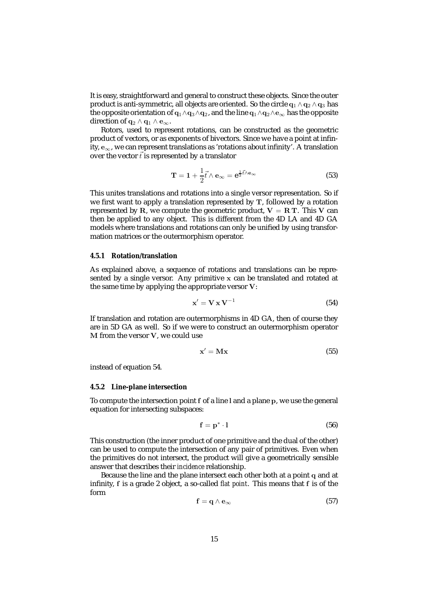It is easy, straightforward and general to construct these objects. Since the outer product is anti-symmetric, all objects are oriented. So the circle  $\mathbf{q}_1 \wedge \mathbf{q}_2 \wedge \mathbf{q}_3$  has the opposite orientation of **<sup>q</sup>**1∧**q**3∧**q**2, and the line **<sup>q</sup>**1∧**q**2∧**e**<sup>∞</sup> has the opposite direction of  $q_2 \wedge q_1 \wedge e_{\infty}$ .

Rotors, used to represent rotations, can be constructed as the geometric product of vectors, or as exponents of bivectors. Since we have a point at infinity, **<sup>e</sup>**∞, we can represent translations as 'rotations about infinity'. A translation over the vector  $\vec{t}$  is represented by a translator

$$
\mathbf{T} = \mathbf{1} + \frac{1}{2} \vec{t} \wedge \mathbf{e}_{\infty} = \mathbf{e}^{\frac{1}{2} \vec{t} \wedge \mathbf{e}_{\infty}}
$$
 (53)

This unites translations and rotations into a single versor representation. So if we first want to apply a translation represented by **T**, followed by a rotation represented by **R**, we compute the geometric product,  $V = R T$ . This V can then be applied to any object. This is different from the 4D LA and 4D GA models where translations and rotations can only be unified by using transformation matrices or the outermorphism operator.

#### **4.5.1 Rotation/translation**

As explained above, a sequence of rotations and translations can be represented by a single versor. Any primitive **x** can be translated and rotated at the same time by applying the appropriate versor **V**:

$$
\mathbf{x}' = \mathbf{V} \mathbf{x} \mathbf{V}^{-1} \tag{54}
$$

If translation and rotation are outermorphisms in 4D GA, then of course they are in 5D GA as well. So if we were to construct an outermorphism operator **M** from the versor **V**, we could use

$$
\mathbf{x}' = \mathbf{M}\mathbf{x} \tag{55}
$$

instead of equation 54.

#### **4.5.2 Line-plane intersection**

To compute the intersection point **f** of a line **l** and a plane **p**, we use the general equation for intersecting subspaces:

$$
\mathbf{f} = \mathbf{p}^* \cdot \mathbf{l} \tag{56}
$$

This construction (the inner product of one primitive and the dual of the other) can be used to compute the intersection of any pair of primitives. Even when the primitives do not intersect, the product will give a geometrically sensible answer that describes their *incidence* relationship.

Because the line and the plane intersect each other both at a point **q** and at infinity, **f** is a grade 2 object, a so-called *flat point*. This means that **f** is of the form

$$
\mathbf{f} = \mathbf{q} \wedge \mathbf{e}_{\infty} \tag{57}
$$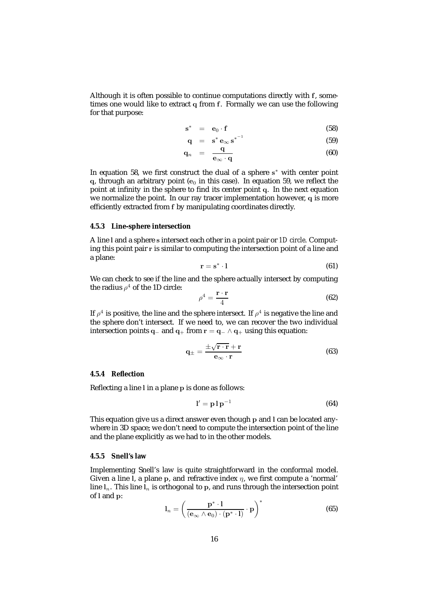Although it is often possible to continue computations directly with **f**, sometimes one would like to extract **q** from **f**. Formally we can use the following for that purpose:

$$
\mathbf{s}^* = \mathbf{e}_0 \cdot \mathbf{f} \tag{58}
$$

$$
\mathbf{q} = \mathbf{s}^* \mathbf{e}_{\infty} \mathbf{s}^{*^{-1}} \tag{59}
$$

$$
\mathbf{q}_n = \frac{\mathbf{q}}{\mathbf{e}_{\infty} \cdot \mathbf{q}} \tag{60}
$$

In equation 58, we first construct the dual of a sphere **s**<sup>∗</sup> with center point  $q$ , through an arbitrary point ( $e_0$  in this case). In equation 59, we reflect the point at infinity in the sphere to find its center point **q**. In the next equation we normalize the point. In our ray tracer implementation however, **q** is more efficiently extracted from **f** by manipulating coordinates directly.

#### **4.5.3 Line-sphere intersection**

A line **l** and a sphere **s** intersect each other in a point pair or *1D circle*. Computing this point pair **r** is similar to computing the intersection point of a line and a plane:

$$
\mathbf{r} = \mathbf{s}^* \cdot \mathbf{l} \tag{61}
$$

We can check to see if the line and the sphere actually intersect by computing the radius  $\rho^4$  of the 1D circle:

$$
\rho^4 = \frac{\mathbf{r} \cdot \mathbf{r}}{4} \tag{62}
$$

If  $\rho^4$  is positive, the line and the sphere intersect. If  $\rho^4$  is negative the line and the sphere don't intersect. If we need to, we can recover the two individual intersection points **<sup>q</sup>**<sup>−</sup> and **<sup>q</sup>**<sup>+</sup> from **<sup>r</sup>** <sup>=</sup> **<sup>q</sup>**<sup>−</sup> <sup>∧</sup> **<sup>q</sup>**<sup>+</sup> using this equation:

$$
\mathbf{q}_{\pm} = \frac{\pm \sqrt{\mathbf{r} \cdot \mathbf{r}} + \mathbf{r}}{\mathbf{e}_{\infty} \cdot \mathbf{r}} \tag{63}
$$

#### **4.5.4 Reflection**

Reflecting a line **l** in a plane **p** is done as follows:

$$
\mathbf{l}' = \mathbf{p} \mathbf{l} \, \mathbf{p}^{-1} \tag{64}
$$

This equation give us a direct answer even though **p** and **l** can be located anywhere in 3D space; we don't need to compute the intersection point of the line and the plane explicitly as we had to in the other models.

#### **4.5.5 Snell's law**

Implementing Snell's law is quite straightforward in the conformal model. Given a line 1, a plane  $p$ , and refractive index  $\eta$ , we first compute a 'normal' line  $l_n$ . This line  $l_n$  is orthogonal to p, and runs through the intersection point of **l** and **p**:

$$
l_n = \left(\frac{\mathbf{p}^* \cdot \mathbf{l}}{(\mathbf{e}_{\infty} \wedge \mathbf{e}_0) \cdot (\mathbf{p}^* \cdot \mathbf{l})} \cdot \mathbf{p}\right)^*
$$
(65)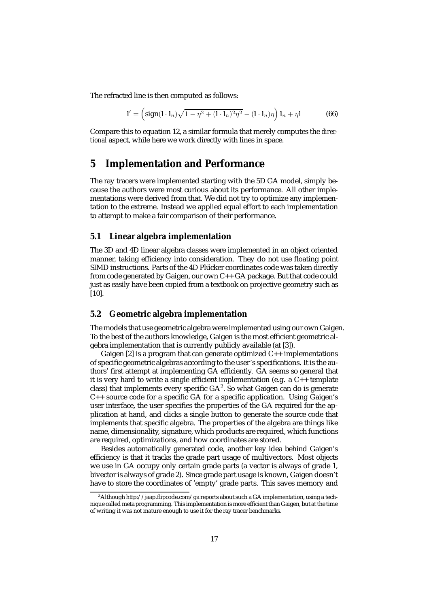The refracted line is then computed as follows:

$$
\mathbf{l}' = \left(\operatorname{sign}(\mathbf{l} \cdot \mathbf{l}_n) \sqrt{1 - \eta^2 + (\mathbf{l} \cdot \mathbf{l}_n)^2 \eta^2} - (\mathbf{l} \cdot \mathbf{l}_n) \eta\right) \mathbf{l}_n + \eta \mathbf{l} \tag{66}
$$

Compare this to equation 12, a similar formula that merely computes the *directional* aspect, while here we work directly with lines in space.

# **5 Implementation and Performance**

The ray tracers were implemented starting with the 5D GA model, simply because the authors were most curious about its performance. All other implementations were derived from that. We did not try to optimize any implementation to the extreme. Instead we applied equal effort to each implementation to attempt to make a fair comparison of their performance.

### **5.1 Linear algebra implementation**

The 3D and 4D linear algebra classes were implemented in an object oriented manner, taking efficiency into consideration. They do not use floating point SIMD instructions. Parts of the 4D Plücker coordinates code was taken directly from code generated by Gaigen, our own C++ GA package. But that code could just as easily have been copied from a textbook on projective geometry such as [10].

### **5.2 Geometric algebra implementation**

The models that use geometric algebra were implemented using our own Gaigen. To the best of the authors knowledge, Gaigen is the most efficient geometric algebra implementation that is currently publicly available (at [3]).

Gaigen  $[2]$  is a program that can generate optimized  $C_{++}$  implementations of specific geometric algebras according to the user's specifications. It is the authors' first attempt at implementing GA efficiently. GA seems so general that it is very hard to write a single efficient implementation (e.g. a C++ template class) that implements every specific  $GA^2$ . So what Gaigen can do is generate C++ source code for a specific GA for a specific application. Using Gaigen's user interface, the user specifies the properties of the GA required for the application at hand, and clicks a single button to generate the source code that implements that specific algebra. The properties of the algebra are things like name, dimensionality, signature, which products are required, which functions are required, optimizations, and how coordinates are stored.

Besides automatically generated code, another key idea behind Gaigen's efficiency is that it tracks the grade part usage of multivectors. Most objects we use in GA occupy only certain grade parts (a vector is always of grade 1, bivector is always of grade 2). Since grade part usage is known, Gaigen doesn't have to store the coordinates of 'empty' grade parts. This saves memory and

<sup>&</sup>lt;sup>2</sup> Although http://jaap.flipcode.com/ga reports about such a GA implementation, using a technique called meta programming. This implementation is more efficient than Gaigen, but at the time of writing it was not mature enough to use it for the ray tracer benchmarks.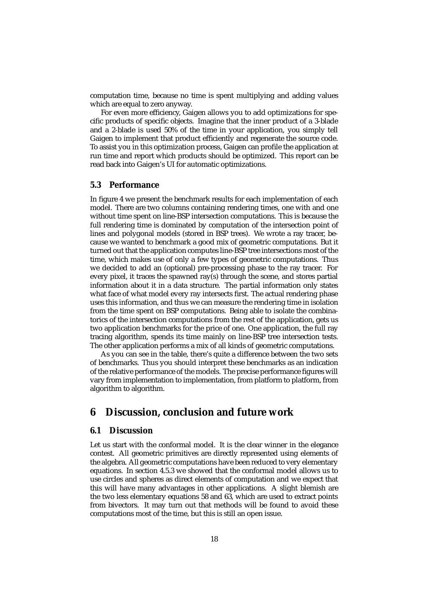computation time, because no time is spent multiplying and adding values which are equal to zero anyway.

For even more efficiency, Gaigen allows you to add optimizations for specific products of specific objects. Imagine that the inner product of a 3-blade and a 2-blade is used 50% of the time in your application, you simply tell Gaigen to implement that product efficiently and regenerate the source code. To assist you in this optimization process, Gaigen can profile the application at run time and report which products should be optimized. This report can be read back into Gaigen's UI for automatic optimizations.

### **5.3 Performance**

In figure 4 we present the benchmark results for each implementation of each model. There are two columns containing rendering times, one with and one without time spent on line-BSP intersection computations. This is because the full rendering time is dominated by computation of the intersection point of lines and polygonal models (stored in BSP trees). We wrote a ray tracer, because we wanted to benchmark a good mix of geometric computations. But it turned out that the application computes line-BSP tree intersections most of the time, which makes use of only a few types of geometric computations. Thus we decided to add an (optional) pre-processing phase to the ray tracer. For every pixel, it traces the spawned ray(s) through the scene, and stores partial information about it in a data structure. The partial information only states what face of what model every ray intersects first. The actual rendering phase uses this information, and thus we can measure the rendering time in isolation from the time spent on BSP computations. Being able to isolate the combinatorics of the intersection computations from the rest of the application, gets us two application benchmarks for the price of one. One application, the full ray tracing algorithm, spends its time mainly on line-BSP tree intersection tests. The other application performs a mix of all kinds of geometric computations.

As you can see in the table, there's quite a difference between the two sets of benchmarks. Thus you should interpret these benchmarks as an indication of the relative performance of the models. The precise performance figures will vary from implementation to implementation, from platform to platform, from algorithm to algorithm.

# **6 Discussion, conclusion and future work**

### **6.1 Discussion**

Let us start with the conformal model. It is the clear winner in the elegance contest. All geometric primitives are directly represented using elements of the algebra. All geometric computations have been reduced to very elementary equations. In section 4.5.3 we showed that the conformal model allows us to use circles and spheres as direct elements of computation and we expect that this will have many advantages in other applications. A slight blemish are the two less elementary equations 58 and 63, which are used to extract points from bivectors. It may turn out that methods will be found to avoid these computations most of the time, but this is still an open issue.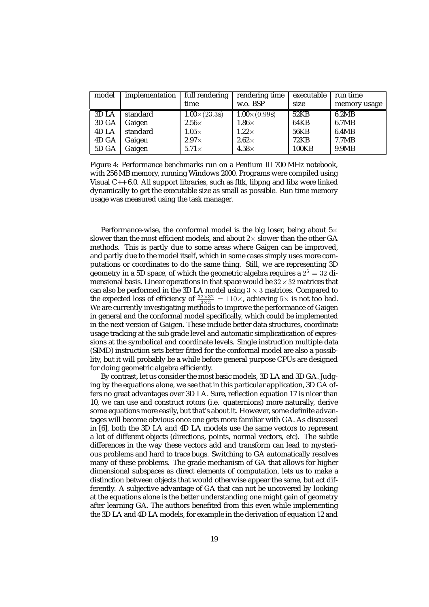| model | implementation | full rendering      | rendering time      | executable  | run time     |
|-------|----------------|---------------------|---------------------|-------------|--------------|
|       |                | time                | w.o. BSP            | size        | memory usage |
| 3D LA | standard       | $1.00\times(23.3s)$ | $1.00\times(0.99s)$ | 52KB        | 6.2MB        |
| 3D GA | Gaigen         | $2.56\times$        | $1.86\times$        | 64KB        | 6.7MB        |
| 4D LA | standard       | $1.05\times$        | $1.22\times$        | <b>56KB</b> | 6.4MB        |
| 4D GA | Gaigen         | $2.97\times$        | $2.62\times$        | 72KB        | 7.7MB        |
| 5D GA | Gaigen         | $5.71\times$        | $4.58\times$        | 100KB       | 9.9MB        |

Figure 4: Performance benchmarks run on a Pentium III 700 MHz notebook, with 256 MB memory, running Windows 2000. Programs were compiled using Visual C++ 6.0. All support libraries, such as fltk, libpng and libz were linked dynamically to get the executable size as small as possible. Run time memory usage was measured using the task manager.

Performance-wise, the conformal model is the big loser, being about  $5\times$ slower than the most efficient models, and about  $2 \times$  slower than the other GA methods. This is partly due to some areas where Gaigen can be improved, and partly due to the model itself, which in some cases simply uses more computations or coordinates to do the same thing. Still, we are representing 3D geometry in a 5D space, of which the geometric algebra requires a  $2^5 = 32$  dimensional basis. Linear operations in that space would be  $32 \times 32$  matrices that can also be performed in the 3D LA model using  $3 \times 3$  matrices. Compared to the expected loss of efficiency of  $\frac{32 \times 32}{13 \times 3} = 110 \times$ , achieving  $5 \times$  is not too bad. We are currently investigating methods to improve the performance of Gaigen in general and the conformal model specifically, which could be implemented in the next version of Gaigen. These include better data structures, coordinate usage tracking at the sub grade level and automatic simplicatication of expressions at the symbolical and coordinate levels. Single instruction multiple data (SIMD) instruction sets better fitted for the conformal model are also a possiblity, but it will probably be a while before general purpose CPUs are designed for doing geometric algebra efficiently.

By contrast, let us consider the most basic models, 3D LA and 3D GA. Judging by the equations alone, we see that in this particular application, 3D GA offers no great advantages over 3D LA. Sure, reflection equation 17 is nicer than 10, we can use and construct rotors (i.e. quaternions) more naturally, derive some equations more easily, but that's about it. However, some definite advantages will become obvious once one gets more familiar with GA. As discussed in [6], both the 3D LA and 4D LA models use the same vectors to represent a lot of different objects (directions, points, normal vectors, etc). The subtle differences in the way these vectors add and transform can lead to mysterious problems and hard to trace bugs. Switching to GA automatically resolves many of these problems. The grade mechanism of GA that allows for higher dimensional subspaces as direct elements of computation, lets us to make a distinction between objects that would otherwise appear the same, but act differently. A subjective advantage of GA that can not be uncovered by looking at the equations alone is the better understanding one might gain of geometry after learning GA. The authors benefited from this even while implementing the 3D LA and 4D LA models, for example in the derivation of equation 12 and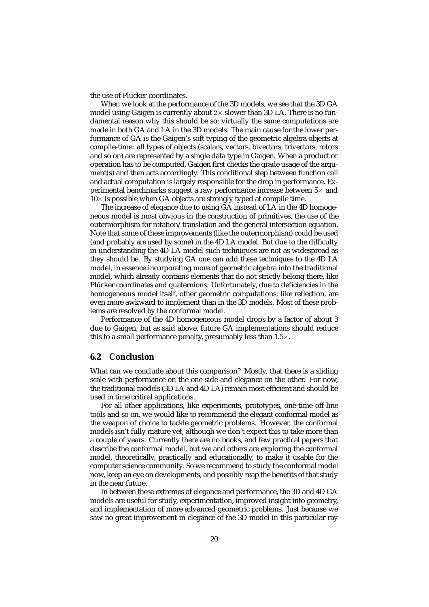the use of Plücker coordinates.

When we look at the performance of the 3D models, we see that the 3D GA model using Gaigen is currently about  $2\times$  slower than 3D LA. There is no fundamental reason why this should be so; virtually the same computations are made in both GA and LA in the 3D models. The main cause for the lower performance of GA is the Gaigen's soft typing of the geometric algebra objects at compile-time: all types of objects (scalars, vectors, bivectors, trivectors, rotors and so on) are represented by a single data type in Gaigen. When a product or operation has to be computed, Gaigen first checks the grade usage of the argument(s) and then acts accordingly. This conditional step between function call and actual computation is largely responsible for the drop in performance. Experimental benchmarks suggest a raw performance increase between  $5\times$  and  $10\times$  is possible when GA objects are strongly typed at compile time.

The increase of elegance due to using GA instead of LA in the 4D homogeneous model is most obvious in the construction of primitives, the use of the outermorphism for rotation/translation and the general intersection equation. Note that some of these improvements (like the outermorphism) could be used (and probably *are* used by some) in the 4D LA model. But due to the difficulty in understanding the 4D LA model such techniques are not as widespread as they should be. By studying GA one can add these techniques to the 4D LA model, in essence incorporating more of geometric algebra into the traditional model, which already contains elements that do not strictly belong there, like Plücker coordinates and quaternions. Unfortunately, due to deficiencies in the homogeneous model itself, other geometric computations, like reflection, are even more awkward to implement than in the 3D models. Most of these problems are resolved by the conformal model.

Performance of the 4D homogeneous model drops by a factor of about 3 due to Gaigen, but as said above, future GA implementations should reduce this to a small performance penalty, presumably less than  $1.5\times$ .

#### **6.2 Conclusion**

What can we conclude about this comparison? Mostly, that there is a sliding scale with performance on the one side and elegance on the other. For now, the traditional models (3D LA and 4D LA) remain most efficient and should be used in time critical applications.

For all other applications, like experiments, prototypes, one-time off-line tools and so on, we would like to recommend the elegant conformal model as the weapon of choice to tackle geometric problems. However, the conformal models isn't fully mature yet, although we don't expect this to take more than a couple of years. Currently there are no books, and few practical papers that describe the conformal model, but we and others are exploring the conformal model, theoretically, practically and educationally, to make it usable for the computer science community. So we recommend to study the conformal model now, keep an eye on developments, and possibly reap the benefits of that study in the near future.

In between these extremes of elegance and performance, the 3D and 4D GA models are useful for study, experimentation, improved insight into geometry, and implementation of more advanced geometric problems. Just because we saw no great improvement in elegance of the 3D model in this particular ray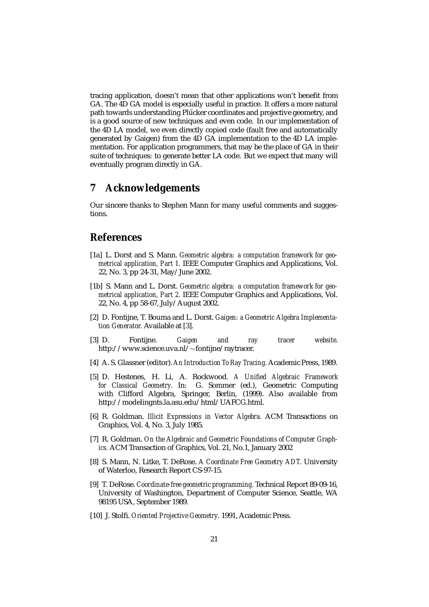tracing application, doesn't mean that other applications won't benefit from GA. The 4D GA model is especially useful in practice. It offers a more natural path towards understanding Plücker coordinates and projective geometry, and is a good source of new techniques and even code. In our implementation of the 4D LA model, we even directly copied code (fault free and automatically generated by Gaigen) from the 4D GA implementation to the 4D LA implementation. For application programmers, that may be the place of GA in their suite of techniques: to generate better LA code. But we expect that many will eventually program directly in GA.

# **7 Acknowledgements**

Our sincere thanks to Stephen Mann for many useful comments and suggestions.

# **References**

- [1a] L. Dorst and S. Mann. *Geometric algebra: a computation framework for geometrical application, Part 1.* IEEE Computer Graphics and Applications, Vol. 22, No. 3, pp 24-31, May/June 2002.
- [1b] S. Mann and L. Dorst. *Geometric algebra: a computation framework for geometrical application, Part 2.* IEEE Computer Graphics and Applications, Vol. 22, No. 4, pp 58-67, July/August 2002.
- [2] D. Fontijne, T. Bouma and L. Dorst. *Gaigen: a Geometric Algebra Implementation Generator.* Available at [3].
- [3] D. Fontijne. *Gaigen and ray tracer website.* http://www.science.uva.nl/∼fontijne/raytracer.
- [4] A. S. Glassner (editor). *An Introduction To Ray Tracing.* Academic Press, 1989.
- [5] D. Hestenes, H. Li, A. Rockwood. *A Unified Algebraic Framework for Classical Geometry.* In: G. Sommer (ed.), Geometric Computing with Clifford Algebra, Springer, Berlin, (1999). Also available from http://modelingnts.la.asu.edu/html/UAFCG.html.
- [6] R. Goldman. *Illicit Expressions in Vector Algebra.* ACM Transactions on Graphics, Vol. 4, No. 3, July 1985.
- [7] R. Goldman. *On the Algebraic and Geometric Foundations of Computer Graphics.* ACM Transaction of Graphics, Vol. 21, No.1, January 2002
- [8] S. Mann, N. Litke, T. DeRose. *A Coordinate Free Geometry ADT.* University of Waterloo, Research Report CS-97-15.
- [9] T. DeRose. *Coordinate-free geometric programming.* Technical Report 89-09-16, University of Washington, Department of Computer Science, Seattle, WA 98195 USA, September 1989.
- [10] J. Stolfi. *Oriented Projective Geometry.* 1991, Academic Press.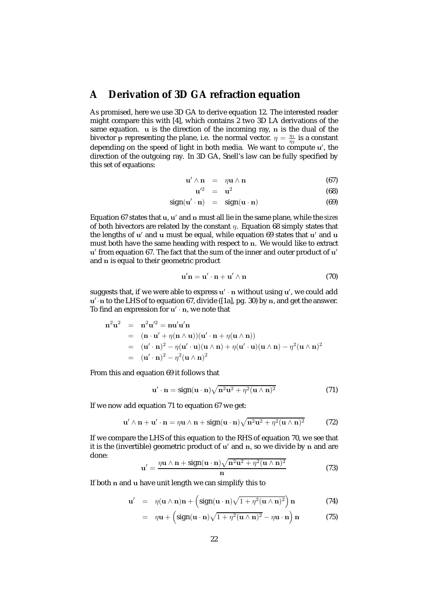# **A Derivation of 3D GA refraction equation**

As promised, here we use 3D GA to derive equation 12. The interested reader might compare this with [4], which contains 2 two 3D LA derivations of the same equation. **u** is the direction of the incoming ray, **n** is the dual of the bivector **p** representing the plane, i.e. the normal vector.  $\eta = \frac{\eta_1}{\eta_2}$  is a constant depending on the speed of light in both media. We want to compute **u** , the direction of the outgoing ray. In 3D GA, Snell's law can be fully specified by this set of equations:

$$
\mathbf{u}' \wedge \mathbf{n} = \eta \mathbf{u} \wedge \mathbf{n} \tag{67}
$$

$$
\mathbf{u}'^2 = \mathbf{u}^2 \tag{68}
$$

$$
sign(\mathbf{u}' \cdot \mathbf{n}) = sign(\mathbf{u} \cdot \mathbf{n}) \tag{69}
$$

Equation 67 states that **u**, **u** and **n** must all lie in the same plane, while the *sizes* of both bivectors are related by the constant  $\eta$ . Equation 68 simply states that the lengths of **u'** and **u** must be equal, while equation 69 states that **u'** and **u** must both have the same heading with respect to **n**. We would like to extract **u** from equation 67. The fact that the sum of the inner and outer product of **u** and **n** is equal to their geometric product

$$
\mathbf{u}'\mathbf{n} = \mathbf{u}' \cdot \mathbf{n} + \mathbf{u}' \wedge \mathbf{n} \tag{70}
$$

suggests that, if we were able to express  $\mathbf{u}' \cdot \mathbf{n}$  without using  $\mathbf{u}'$ , we could add **u** ·**<sup>n</sup>** to the LHS of to equation 67, divide ([1a], pg. 30) by **<sup>n</sup>**, and get the answer. To find an expression for  $\mathbf{u}' \cdot \mathbf{n}$ , we note that

$$
\mathbf{n}^2 \mathbf{u}^2 = \mathbf{n}^2 \mathbf{u}'^2 = \mathbf{n} \mathbf{u}' \mathbf{u}' \mathbf{n}
$$
  
= (\mathbf{n} \cdot \mathbf{u}' + \eta (\mathbf{n} \wedge \mathbf{u})) (\mathbf{u}' \cdot \mathbf{n} + \eta (\mathbf{u} \wedge \mathbf{n}))  
= (\mathbf{u}' \cdot \mathbf{n})^2 - \eta (\mathbf{u}' \cdot \mathbf{u}) (\mathbf{u} \wedge \mathbf{n}) + \eta (\mathbf{u}' \cdot \mathbf{u}) (\mathbf{u} \wedge \mathbf{n}) - \eta^2 (\mathbf{u} \wedge \mathbf{n})^2  
= (\mathbf{u}' \cdot \mathbf{n})^2 - \eta^2 (\mathbf{u} \wedge \mathbf{n})^2

From this and equation 69 it follows that

$$
\mathbf{u}' \cdot \mathbf{n} = \text{sign}(\mathbf{u} \cdot \mathbf{n}) \sqrt{\mathbf{n}^2 \mathbf{u}^2 + \eta^2 (\mathbf{u} \wedge \mathbf{n})^2}
$$
(71)

If we now add equation 71 to equation 67 we get:

$$
\mathbf{u}' \wedge \mathbf{n} + \mathbf{u}' \cdot \mathbf{n} = \eta \mathbf{u} \wedge \mathbf{n} + \text{sign}(\mathbf{u} \cdot \mathbf{n}) \sqrt{\mathbf{n}^2 \mathbf{u}^2 + \eta^2 (\mathbf{u} \wedge \mathbf{n})^2}
$$
(72)

If we compare the LHS of this equation to the RHS of equation 70, we see that it is the (invertible) geometric product of **u'** and **n**, so we divide by **n** and are done:

$$
\mathbf{u}' = \frac{\eta \mathbf{u} \wedge \mathbf{n} + \text{sign}(\mathbf{u} \cdot \mathbf{n}) \sqrt{\mathbf{n}^2 \mathbf{u}^2 + \eta^2 (\mathbf{u} \wedge \mathbf{n})^2}}{\mathbf{n}} \tag{73}
$$

If both **n** and **u** have unit length we can simplify this to

$$
\mathbf{u}' = \eta(\mathbf{u} \wedge \mathbf{n})\mathbf{n} + \left(\text{sign}(\mathbf{u} \cdot \mathbf{n})\sqrt{1 + \eta^2(\mathbf{u} \wedge \mathbf{n})^2}\right)\mathbf{n} \tag{74}
$$

$$
= \eta \mathbf{u} + \left(\operatorname{sign}(\mathbf{u} \cdot \mathbf{n})\sqrt{1 + \eta^2(\mathbf{u} \wedge \mathbf{n})^2} - \eta \mathbf{u} \cdot \mathbf{n}\right) \mathbf{n} \tag{75}
$$